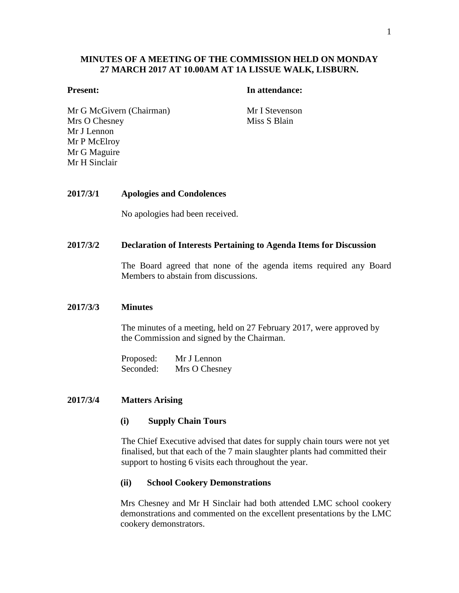# **MINUTES OF A MEETING OF THE COMMISSION HELD ON MONDAY 27 MARCH 2017 AT 10.00AM AT 1A LISSUE WALK, LISBURN.**

#### **Present: In attendance:**

Mr G McGivern (Chairman) Mr I Stevenson Mrs O Chesney Mr J Lennon Mr P McElroy Mr G Maguire Mr H Sinclair

Miss S Blain

# **2017/3/1 Apologies and Condolences**

No apologies had been received.

#### **2017/3/2 Declaration of Interests Pertaining to Agenda Items for Discussion**

The Board agreed that none of the agenda items required any Board Members to abstain from discussions.

#### **2017/3/3 Minutes**

The minutes of a meeting, held on 27 February 2017, were approved by the Commission and signed by the Chairman.

Proposed: Mr J Lennon Seconded: Mrs O Chesney

## **2017/3/4 Matters Arising**

### **(i) Supply Chain Tours**

The Chief Executive advised that dates for supply chain tours were not yet finalised, but that each of the 7 main slaughter plants had committed their support to hosting 6 visits each throughout the year.

#### **(ii) School Cookery Demonstrations**

Mrs Chesney and Mr H Sinclair had both attended LMC school cookery demonstrations and commented on the excellent presentations by the LMC cookery demonstrators.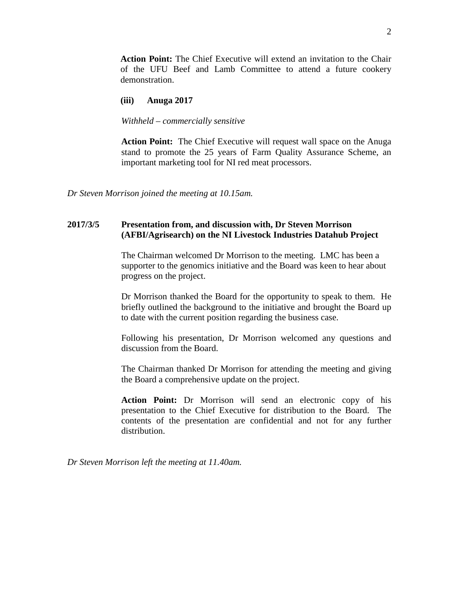**Action Point:** The Chief Executive will extend an invitation to the Chair of the UFU Beef and Lamb Committee to attend a future cookery demonstration.

#### **(iii) Anuga 2017**

#### *Withheld – commercially sensitive*

**Action Point:** The Chief Executive will request wall space on the Anuga stand to promote the 25 years of Farm Quality Assurance Scheme, an important marketing tool for NI red meat processors.

*Dr Steven Morrison joined the meeting at 10.15am.*

# **2017/3/5 Presentation from, and discussion with, Dr Steven Morrison (AFBI/Agrisearch) on the NI Livestock Industries Datahub Project**

The Chairman welcomed Dr Morrison to the meeting. LMC has been a supporter to the genomics initiative and the Board was keen to hear about progress on the project.

Dr Morrison thanked the Board for the opportunity to speak to them. He briefly outlined the background to the initiative and brought the Board up to date with the current position regarding the business case.

Following his presentation, Dr Morrison welcomed any questions and discussion from the Board.

The Chairman thanked Dr Morrison for attending the meeting and giving the Board a comprehensive update on the project.

**Action Point:** Dr Morrison will send an electronic copy of his presentation to the Chief Executive for distribution to the Board. The contents of the presentation are confidential and not for any further distribution.

*Dr Steven Morrison left the meeting at 11.40am.*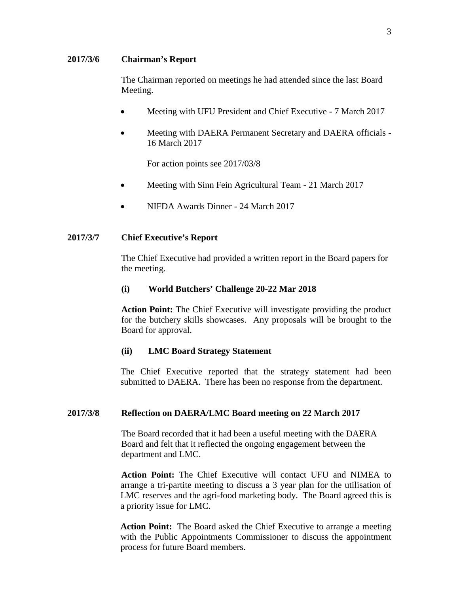### **2017/3/6 Chairman's Report**

The Chairman reported on meetings he had attended since the last Board Meeting.

- Meeting with UFU President and Chief Executive 7 March 2017
- Meeting with DAERA Permanent Secretary and DAERA officials -16 March 2017

For action points see 2017/03/8

- Meeting with Sinn Fein Agricultural Team 21 March 2017
- NIFDA Awards Dinner 24 March 2017

### **2017/3/7 Chief Executive's Report**

The Chief Executive had provided a written report in the Board papers for the meeting.

#### **(i) World Butchers' Challenge 20-22 Mar 2018**

**Action Point:** The Chief Executive will investigate providing the product for the butchery skills showcases. Any proposals will be brought to the Board for approval.

#### **(ii) LMC Board Strategy Statement**

The Chief Executive reported that the strategy statement had been submitted to DAERA. There has been no response from the department.

#### **2017/3/8 Reflection on DAERA/LMC Board meeting on 22 March 2017**

The Board recorded that it had been a useful meeting with the DAERA Board and felt that it reflected the ongoing engagement between the department and LMC.

**Action Point:** The Chief Executive will contact UFU and NIMEA to arrange a tri-partite meeting to discuss a 3 year plan for the utilisation of LMC reserves and the agri-food marketing body. The Board agreed this is a priority issue for LMC.

**Action Point:** The Board asked the Chief Executive to arrange a meeting with the Public Appointments Commissioner to discuss the appointment process for future Board members.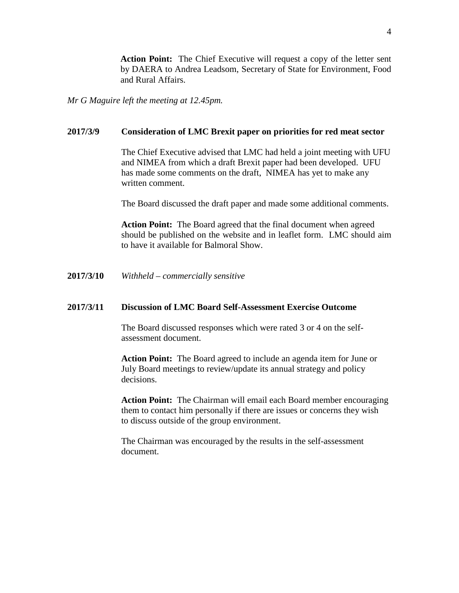**Action Point:** The Chief Executive will request a copy of the letter sent by DAERA to Andrea Leadsom, Secretary of State for Environment, Food and Rural Affairs.

*Mr G Maguire left the meeting at 12.45pm.*

# **2017/3/9 Consideration of LMC Brexit paper on priorities for red meat sector**

The Chief Executive advised that LMC had held a joint meeting with UFU and NIMEA from which a draft Brexit paper had been developed. UFU has made some comments on the draft, NIMEA has yet to make any written comment.

The Board discussed the draft paper and made some additional comments.

**Action Point:** The Board agreed that the final document when agreed should be published on the website and in leaflet form. LMC should aim to have it available for Balmoral Show.

**2017/3/10** *Withheld – commercially sensitive*

#### **2017/3/11 Discussion of LMC Board Self-Assessment Exercise Outcome**

The Board discussed responses which were rated 3 or 4 on the selfassessment document.

**Action Point:** The Board agreed to include an agenda item for June or July Board meetings to review/update its annual strategy and policy decisions.

**Action Point:** The Chairman will email each Board member encouraging them to contact him personally if there are issues or concerns they wish to discuss outside of the group environment.

The Chairman was encouraged by the results in the self-assessment document.